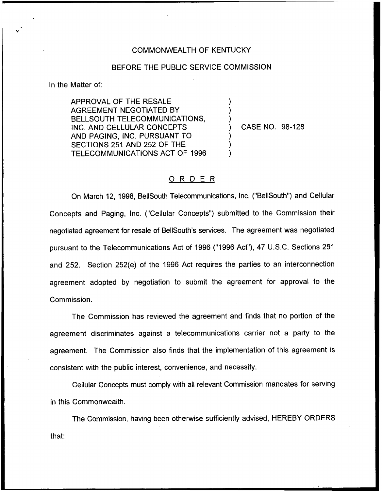## COMMONWEALTH OF KENTUCKY

## BEFORE THE PUBLIC SERVICE COMMISSION

) ) )

> ) ) )

In the Matter of:

APPROVAL OF THE RESALE AGREEMENT NEGOTIATED BY BELLSOUTH TELECOMMUNICATIONS, INC. AND CELLULAR CONCEPTS AND PAGING, INC. PURSUANT TO SECTIONS 251 AND 252 OF THE TELECOMMUNICATIONS ACT OF 1996

) CASE NO, 98-128

## ORDER

On March 12, 1998, BellSouth Telecommunications, Inc. ("BellSouth") and Cellular Concepts and Paging, Inc. ("Cellular Concepts") submitted to the Commission thei negotiated agreement for resale of BellSouth's services. The agreement was negotiated pursuant to the Telecommunications Act of 1996 ("1996 Act"), 47 U.S.C. Sections 251 and 252. Section 252(e) of the 1996 Act requires the parties to an interconnection agreement adopted by negotiation to submit the agreement for approval to the Commission.

The Commission has reviewed the agreement and finds that no portion of the agreement discriminates against a telecommunications carrier not a party to the agreement. The Commission also finds that the implementation of this agreement is consistent with the public interest, convenience, and necessity.

Cellular Concepts must comply with all relevant Commission mandates for serving in this Commonwealth.

The Commission, having been otherwise sufficiently advised, HEREBY ORDERSthat: